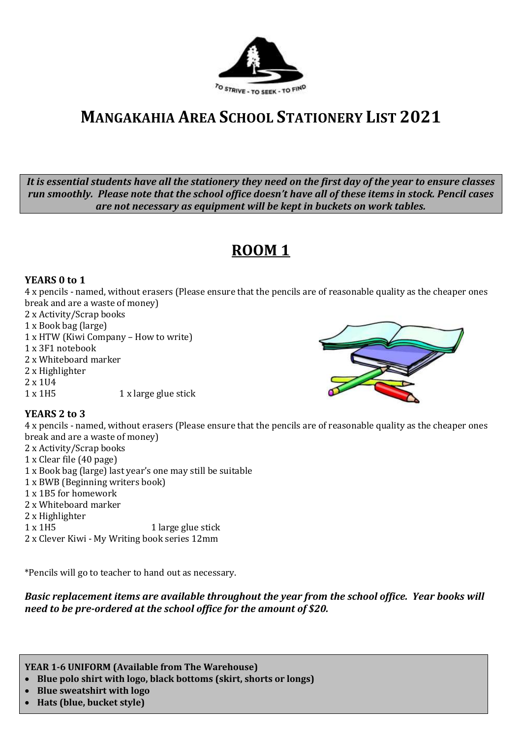

# **MANGAKAHIA AREA SCHOOL STATIONERY LIST 2021**

*It is essential students have all the stationery they need on the first day of the year to ensure classes run smoothly. Please note that the school office doesn't have all of these items in stock. Pencil cases are not necessary as equipment will be kept in buckets on work tables.*

## **ROOM 1**

### **YEARS 0 to 1**

4 x pencils - named, without erasers (Please ensure that the pencils are of reasonable quality as the cheaper ones break and are a waste of money)

- 2 x Activity/Scrap books
- 1 x Book bag (large)
- 1 x HTW (Kiwi Company How to write)
- 1 x 3F1 notebook
- 2 x Whiteboard marker
- 2 x Highlighter
- 2 x 1U4
- 1 x 1H5 1 x large glue stick



### **YEARS 2 to 3**

4 x pencils - named, without erasers (Please ensure that the pencils are of reasonable quality as the cheaper ones break and are a waste of money)

- 2 x Activity/Scrap books 1 x Clear file (40 page) 1 x Book bag (large) last year's one may still be suitable 1 x BWB (Beginning writers book) 1 x 1B5 for homework 2 x Whiteboard marker 2 x Highlighter
- 1 x 1H5 1 large glue stick 2 x Clever Kiwi - My Writing book series 12mm

\*Pencils will go to teacher to hand out as necessary.

*Basic replacement items are available throughout the year from the school office. Year books will need to be pre-ordered at the school office for the amount of \$20.*

**YEAR 1-6 UNIFORM (Available from The Warehouse)**

- **Blue polo shirt with logo, black bottoms (skirt, shorts or longs)**
- **Blue sweatshirt with logo**
- **Hats (blue, bucket style)**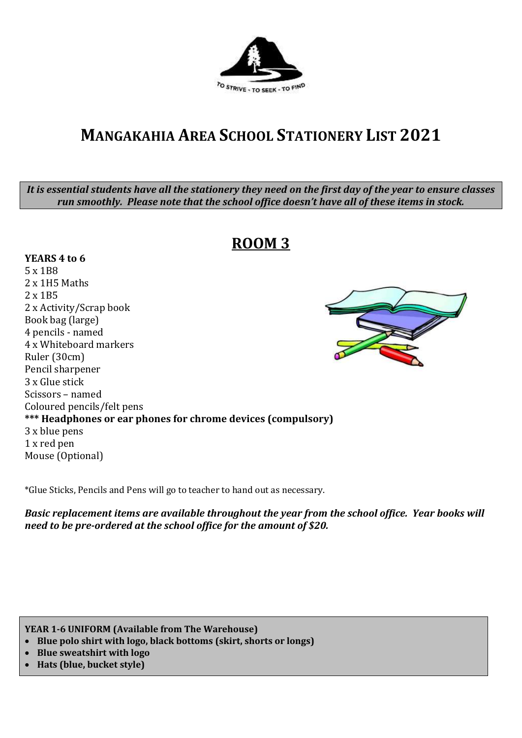

# **MANGAKAHIA AREA SCHOOL STATIONERY LIST 2021**

*It is essential students have all the stationery they need on the first day of the year to ensure classes run smoothly. Please note that the school office doesn't have all of these items in stock.*

### **ROOM 3**

### **YEARS 4 to 6**

5 x 1B8 2 x 1H5 Maths 2 x 1B5 2 x Activity/Scrap book Book bag (large) 4 pencils - named 4 x Whiteboard markers Ruler (30cm) Pencil sharpener 3 x Glue stick Scissors – named Coloured pencils/felt pens **\*\*\* Headphones or ear phones for chrome devices (compulsory)** 3 x blue pens 1 x red pen Mouse (Optional)

\*Glue Sticks, Pencils and Pens will go to teacher to hand out as necessary.

*Basic replacement items are available throughout the year from the school office. Year books will need to be pre-ordered at the school office for the amount of \$20.*

**YEAR 1-6 UNIFORM (Available from The Warehouse)**

- **Blue polo shirt with logo, black bottoms (skirt, shorts or longs)**
- **Blue sweatshirt with logo**
- **Hats (blue, bucket style)**

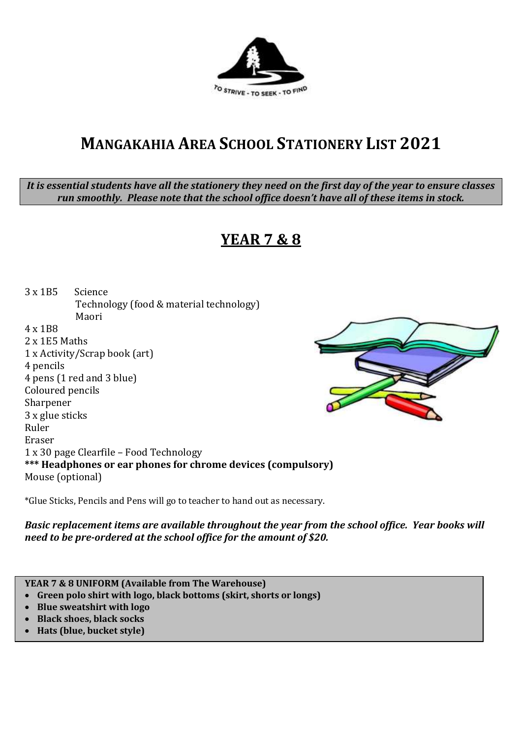

## **MANGAKAHIA AREA SCHOOL STATIONERY LIST 2021**

*It is essential students have all the stationery they need on the first day of the year to ensure classes run smoothly. Please note that the school office doesn't have all of these items in stock.*

## **YEAR 7 & 8**

3 x 1B5 Science Technology (food & material technology) Maori 4 x 1B8

2 x 1E5 Maths 1 x Activity/Scrap book (art) 4 pencils 4 pens (1 red and 3 blue) Coloured pencils Sharpener 3 x glue sticks Ruler Eraser 1 x 30 page Clearfile – Food Technology **\*\*\* Headphones or ear phones for chrome devices (compulsory)** Mouse (optional)

\*Glue Sticks, Pencils and Pens will go to teacher to hand out as necessary.

*Basic replacement items are available throughout the year from the school office. Year books will need to be pre-ordered at the school office for the amount of \$20.*

**YEAR 7 & 8 UNIFORM (Available from The Warehouse)**

- **Green polo shirt with logo, black bottoms (skirt, shorts or longs)**
- **Blue sweatshirt with logo**
- **Black shoes, black socks**
- **Hats (blue, bucket style)**

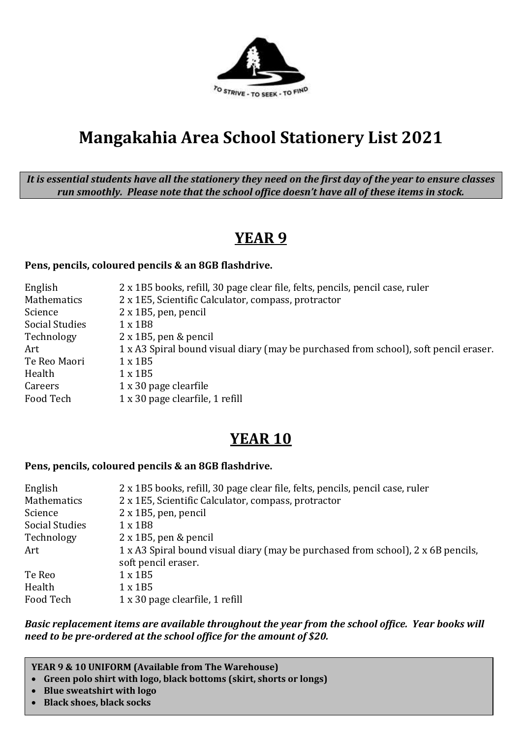

# **Mangakahia Area School Stationery List 2021**

*It is essential students have all the stationery they need on the first day of the year to ensure classes run smoothly. Please note that the school office doesn't have all of these items in stock.*

### **YEAR 9**

### **Pens, pencils, coloured pencils & an 8GB flashdrive.**

| English               | 2 x 1B5 books, refill, 30 page clear file, felts, pencils, pencil case, ruler        |
|-----------------------|--------------------------------------------------------------------------------------|
| Mathematics           | 2 x 1E5, Scientific Calculator, compass, protractor                                  |
| Science               | $2 \times 1B5$ , pen, pencil                                                         |
| <b>Social Studies</b> | $1 \times 1B8$                                                                       |
| Technology            | $2 \times 1B5$ , pen & pencil                                                        |
| Art                   | 1 x A3 Spiral bound visual diary (may be purchased from school), soft pencil eraser. |
| Te Reo Maori          | $1 \times 1B5$                                                                       |
| Health                | $1 \times 1B5$                                                                       |
| Careers               | $1 \times 30$ page clearfile                                                         |
| Food Tech             | 1 x 30 page clearfile, 1 refill                                                      |

### **YEAR 10**

#### **Pens, pencils, coloured pencils & an 8GB flashdrive.**

| English               | 2 x 1B5 books, refill, 30 page clear file, felts, pencils, pencil case, ruler                           |
|-----------------------|---------------------------------------------------------------------------------------------------------|
| Mathematics           | 2 x 1E5, Scientific Calculator, compass, protractor                                                     |
| Science               | $2 \times 1B5$ , pen, pencil                                                                            |
| <b>Social Studies</b> | $1 \times 1B8$                                                                                          |
| Technology            | $2 \times 1B5$ , pen & pencil                                                                           |
| Art                   | 1 x A3 Spiral bound visual diary (may be purchased from school), 2 x 6B pencils,<br>soft pencil eraser. |
| Te Reo                | $1 \times 1B5$                                                                                          |
| Health                | $1 \times 1B5$                                                                                          |
| Food Tech             | 1 x 30 page clearfile, 1 refill                                                                         |

*Basic replacement items are available throughout the year from the school office. Year books will need to be pre-ordered at the school office for the amount of \$20.*

**YEAR 9 & 10 UNIFORM (Available from The Warehouse)**

- **Green polo shirt with logo, black bottoms (skirt, shorts or longs)**
- **Blue sweatshirt with logo**
- **Black shoes, black socks**